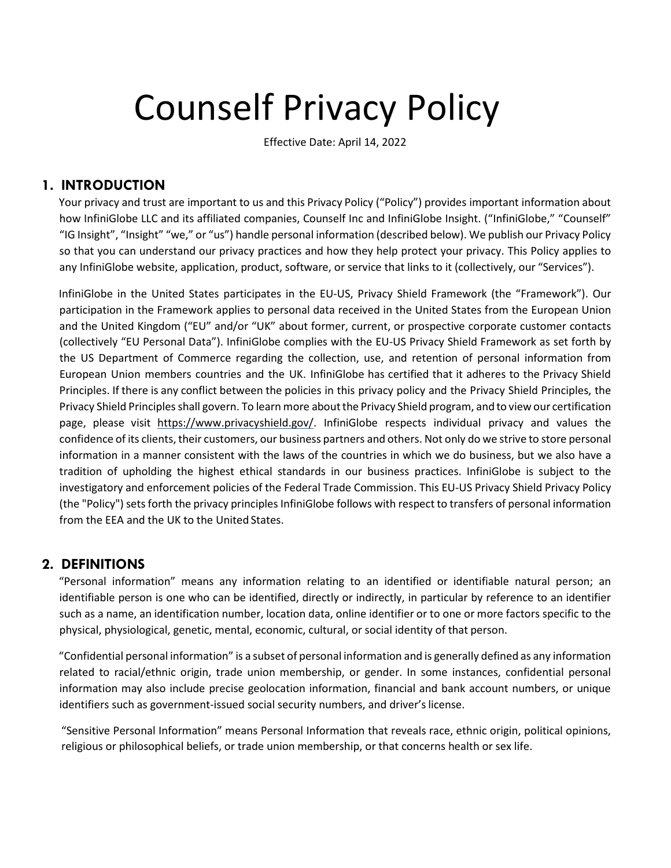# Counself Privacy Policy

Effective Date: April 14, 2022

# **1. INTRODUCTION**

Your privacy and trust are important to us and this Privacy Policy ("Policy") provides important information about how InfiniGlobe LLC and its affiliated companies, Counself Inc and InfiniGlobe Insight. ("InfiniGlobe," "Counself" "IG Insight", "Insight" "we," or "us") handle personal information (described below). We publish our Privacy Policy so that you can understand our privacy practices and how they help protect your privacy. This Policy applies to any InfiniGlobe website, application, product, software, or service that links to it (collectively, our "Services").

InfiniGlobe in the United States participates in the EU-US, Privacy Shield Framework (the "Framework"). Our participation in the Framework applies to personal data received in the United States from the European Union and the United Kingdom ("EU" and/or "UK" about former, current, or prospective corporate customer contacts (collectively "EU Personal Data"). InfiniGlobe complies with the EU-US Privacy Shield Framework as set forth by the US Department of Commerce regarding the collection, use, and retention of personal information from European Union members countries and the UK. InfiniGlobe has certified that it adheres to the Privacy Shield Principles. If there is any conflict between the policies in this privacy policy and the Privacy Shield Principles, the Privacy Shield Principles shall govern. To learn more aboutthe Privacy Shield program, and to view our certification page, please visit [https://www.privacyshield.gov/.](https://www.privacyshield.gov/) InfiniGlobe respects individual privacy and values the confidence of its clients, their customers, our business partners and others. Not only do we strive to store personal information in a manner consistent with the laws of the countries in which we do business, but we also have a tradition of upholding the highest ethical standards in our business practices. InfiniGlobe is subject to the investigatory and enforcement policies of the Federal Trade Commission. This EU-US Privacy Shield Privacy Policy (the "Policy") sets forth the privacy principles InfiniGlobe follows with respect to transfers of personal information from the EEA and the UK to the United States.

## **2. DEFINITIONS**

"Personal information" means any information relating to an identified or identifiable natural person; an identifiable person is one who can be identified, directly or indirectly, in particular by reference to an identifier such as a name, an identification number, location data, online identifier or to one or more factors specific to the physical, physiological, genetic, mental, economic, cultural, or social identity of that person.

"Confidential personal information" is a subset of personal information and is generally defined as any information related to racial/ethnic origin, trade union membership, or gender. In some instances, confidential personal information may also include precise geolocation information, financial and bank account numbers, or unique identifiers such as government-issued social security numbers, and driver's license.

"Sensitive Personal Information" means Personal Information that reveals race, ethnic origin, political opinions, religious or philosophical beliefs, or trade union membership, or that concerns health or sex life.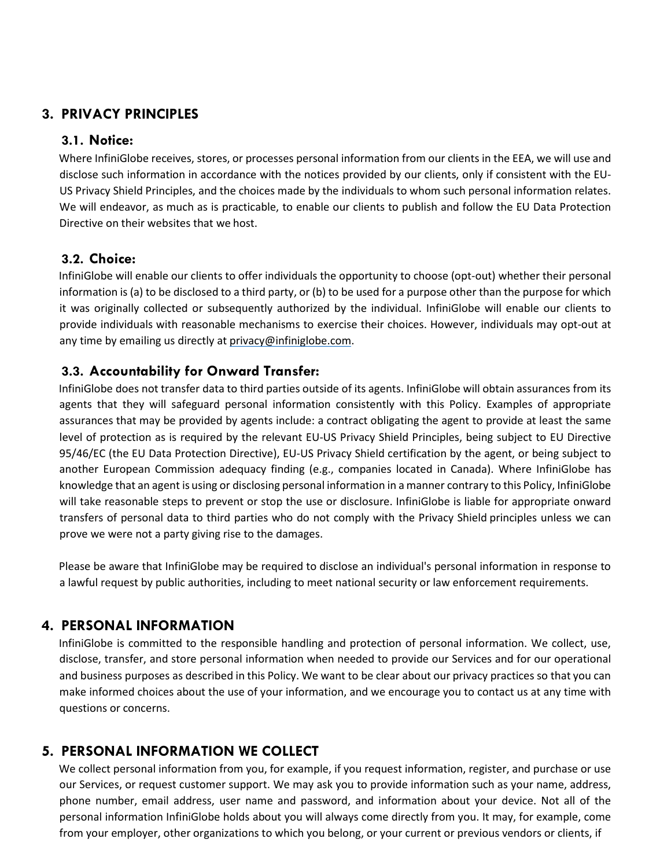## **3. PRIVACY PRINCIPLES**

#### **3.1. Notice:**

Where InfiniGlobe receives, stores, or processes personal information from our clients in the EEA, we will use and disclose such information in accordance with the notices provided by our clients, only if consistent with the EU-US Privacy Shield Principles, and the choices made by the individuals to whom such personal information relates. We will endeavor, as much as is practicable, to enable our clients to publish and follow the EU Data Protection Directive on their websites that we host.

#### **3.2. Choice:**

InfiniGlobe will enable our clients to offer individuals the opportunity to choose (opt-out) whether their personal information is (a) to be disclosed to a third party, or (b) to be used for a purpose other than the purpose for which it was originally collected or subsequently authorized by the individual. InfiniGlobe will enable our clients to provide individuals with reasonable mechanisms to exercise their choices. However, individuals may opt-out at any time by emailing us directly at [privacy@infiniglobe.com.](mailto:privacy@infiniglobe.com)

#### **3.3. Accountability for Onward Transfer:**

InfiniGlobe does not transfer data to third parties outside of its agents. InfiniGlobe will obtain assurances from its agents that they will safeguard personal information consistently with this Policy. Examples of appropriate assurances that may be provided by agents include: a contract obligating the agent to provide at least the same level of protection as is required by the relevant EU-US Privacy Shield Principles, being subject to EU Directive 95/46/EC (the EU Data Protection Directive), EU-US Privacy Shield certification by the agent, or being subject to another European Commission adequacy finding (e.g., companies located in Canada). Where InfiniGlobe has knowledge that an agent is using or disclosing personal information in a manner contrary to this Policy, InfiniGlobe will take reasonable steps to prevent or stop the use or disclosure. InfiniGlobe is liable for appropriate onward transfers of personal data to third parties who do not comply with the Privacy Shield principles unless we can prove we were not a party giving rise to the damages.

Please be aware that InfiniGlobe may be required to disclose an individual's personal information in response to a lawful request by public authorities, including to meet national security or law enforcement requirements.

## **4. PERSONAL INFORMATION**

InfiniGlobe is committed to the responsible handling and protection of personal information. We collect, use, disclose, transfer, and store personal information when needed to provide our Services and for our operational and business purposes as described in this Policy. We want to be clear about our privacy practices so that you can make informed choices about the use of your information, and we encourage you to contact us at any time with questions or concerns.

## **5. PERSONAL INFORMATION WE COLLECT**

We collect personal information from you, for example, if you request information, register, and purchase or use our Services, or request customer support. We may ask you to provide information such as your name, address, phone number, email address, user name and password, and information about your device. Not all of the personal information InfiniGlobe holds about you will always come directly from you. It may, for example, come from your employer, other organizations to which you belong, or your current or previous vendors or clients, if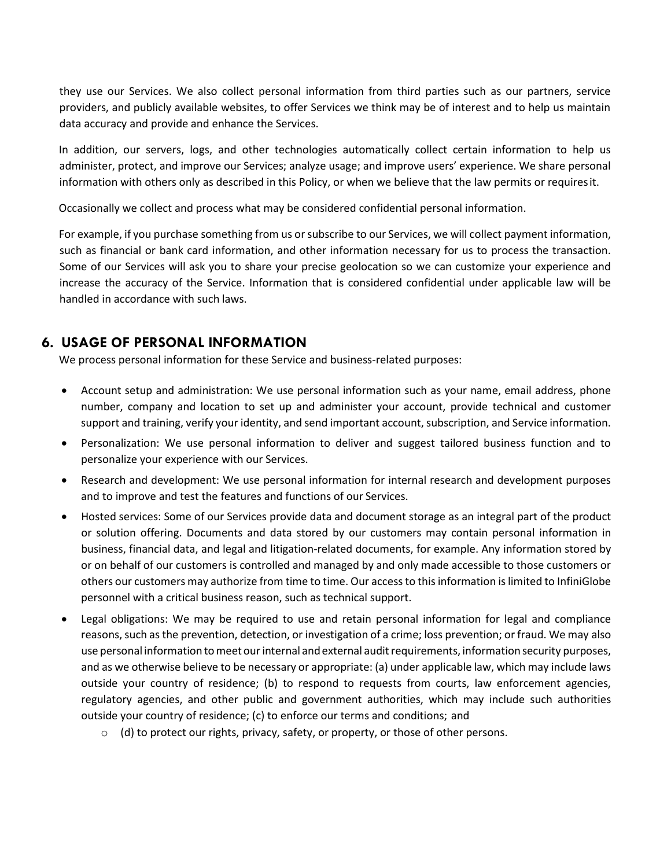they use our Services. We also collect personal information from third parties such as our partners, service providers, and publicly available websites, to offer Services we think may be of interest and to help us maintain data accuracy and provide and enhance the Services.

In addition, our servers, logs, and other technologies automatically collect certain information to help us administer, protect, and improve our Services; analyze usage; and improve users' experience. We share personal information with others only as described in this Policy, or when we believe that the law permits or requiresit.

Occasionally we collect and process what may be considered confidential personal information.

For example, if you purchase something from us or subscribe to our Services, we will collect payment information, such as financial or bank card information, and other information necessary for us to process the transaction. Some of our Services will ask you to share your precise geolocation so we can customize your experience and increase the accuracy of the Service. Information that is considered confidential under applicable law will be handled in accordance with such laws.

## **6. USAGE OF PERSONAL INFORMATION**

We process personal information for these Service and business-related purposes:

- Account setup and administration: We use personal information such as your name, email address, phone number, company and location to set up and administer your account, provide technical and customer support and training, verify your identity, and send important account, subscription, and Service information.
- Personalization: We use personal information to deliver and suggest tailored business function and to personalize your experience with our Services.
- Research and development: We use personal information for internal research and development purposes and to improve and test the features and functions of our Services.
- Hosted services: Some of our Services provide data and document storage as an integral part of the product or solution offering. Documents and data stored by our customers may contain personal information in business, financial data, and legal and litigation-related documents, for example. Any information stored by or on behalf of our customers is controlled and managed by and only made accessible to those customers or others our customers may authorize from time to time. Our access to this information is limited to InfiniGlobe personnel with a critical business reason, such as technical support.
- Legal obligations: We may be required to use and retain personal information for legal and compliance reasons, such as the prevention, detection, or investigation of a crime; loss prevention; or fraud. We may also use personal information to meet our internal and external audit requirements, information security purposes, and as we otherwise believe to be necessary or appropriate: (a) under applicable law, which may include laws outside your country of residence; (b) to respond to requests from courts, law enforcement agencies, regulatory agencies, and other public and government authorities, which may include such authorities outside your country of residence; (c) to enforce our terms and conditions; and
	- $\circ$  (d) to protect our rights, privacy, safety, or property, or those of other persons.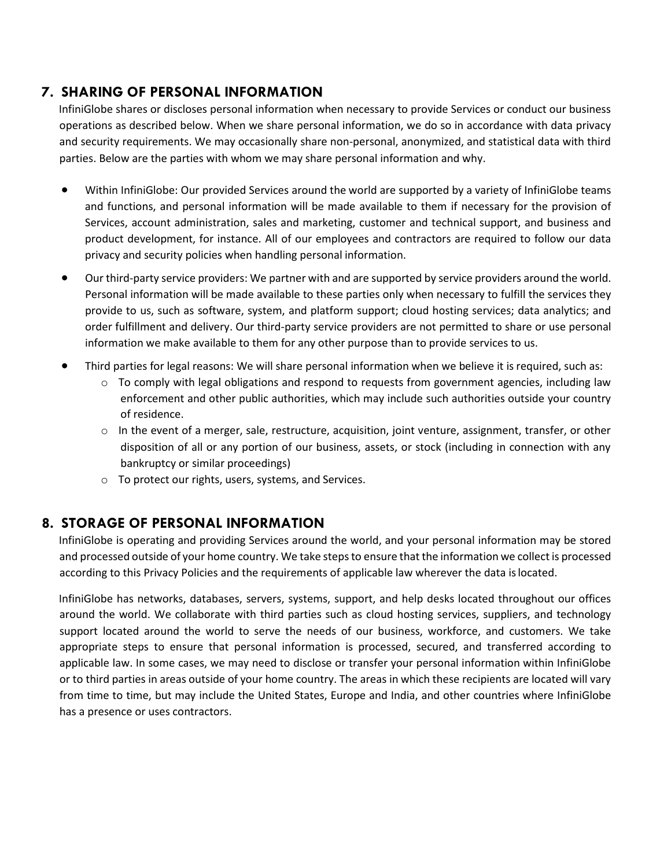# **7. SHARING OF PERSONAL INFORMATION**

InfiniGlobe shares or discloses personal information when necessary to provide Services or conduct our business operations as described below. When we share personal information, we do so in accordance with data privacy and security requirements. We may occasionally share non-personal, anonymized, and statistical data with third parties. Below are the parties with whom we may share personal information and why.

- Within InfiniGlobe: Our provided Services around the world are supported by a variety of InfiniGlobe teams and functions, and personal information will be made available to them if necessary for the provision of Services, account administration, sales and marketing, customer and technical support, and business and product development, for instance. All of our employees and contractors are required to follow our data privacy and security policies when handling personal information.
- Our third-party service providers: We partner with and are supported by service providers around the world. Personal information will be made available to these parties only when necessary to fulfill the services they provide to us, such as software, system, and platform support; cloud hosting services; data analytics; and order fulfillment and delivery. Our third-party service providers are not permitted to share or use personal information we make available to them for any other purpose than to provide services to us.
- Third parties for legal reasons: We will share personal information when we believe it is required, such as:
	- $\circ$  To comply with legal obligations and respond to requests from government agencies, including law enforcement and other public authorities, which may include such authorities outside your country of residence.
	- $\circ$  In the event of a merger, sale, restructure, acquisition, joint venture, assignment, transfer, or other disposition of all or any portion of our business, assets, or stock (including in connection with any bankruptcy or similar proceedings)
	- o To protect our rights, users, systems, and Services.

# **8. STORAGE OF PERSONAL INFORMATION**

InfiniGlobe is operating and providing Services around the world, and your personal information may be stored and processed outside of your home country. We take steps to ensure that the information we collect is processed according to this Privacy Policies and the requirements of applicable law wherever the data islocated.

InfiniGlobe has networks, databases, servers, systems, support, and help desks located throughout our offices around the world. We collaborate with third parties such as cloud hosting services, suppliers, and technology support located around the world to serve the needs of our business, workforce, and customers. We take appropriate steps to ensure that personal information is processed, secured, and transferred according to applicable law. In some cases, we may need to disclose or transfer your personal information within InfiniGlobe or to third parties in areas outside of your home country. The areas in which these recipients are located will vary from time to time, but may include the United States, Europe and India, and other countries where InfiniGlobe has a presence or uses contractors.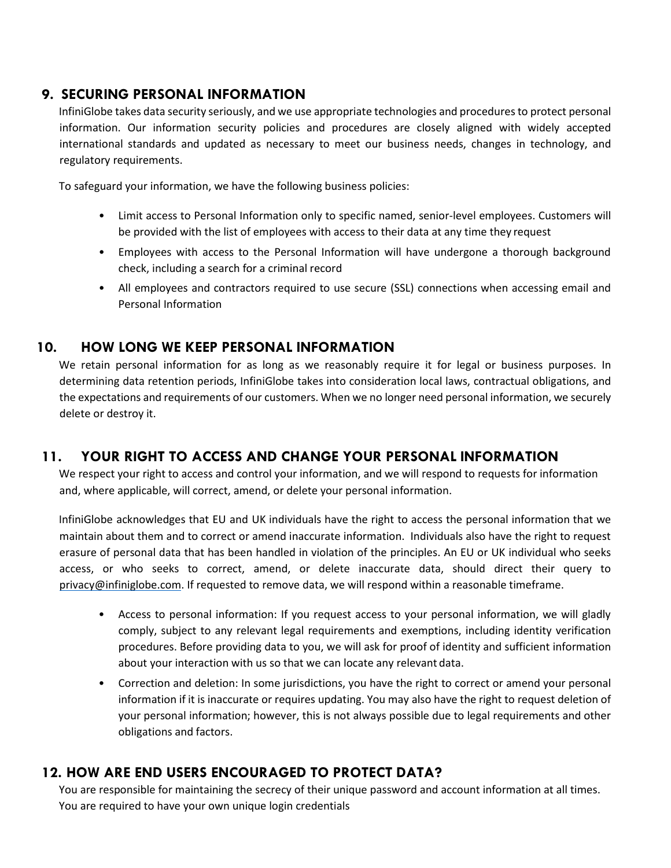#### **9. SECURING PERSONAL INFORMATION**

InfiniGlobe takes data security seriously, and we use appropriate technologies and proceduresto protect personal information. Our information security policies and procedures are closely aligned with widely accepted international standards and updated as necessary to meet our business needs, changes in technology, and regulatory requirements.

To safeguard your information, we have the following business policies:

- Limit access to Personal Information only to specific named, senior-level employees. Customers will be provided with the list of employees with access to their data at any time they request
- Employees with access to the Personal Information will have undergone a thorough background check, including a search for a criminal record
- All employees and contractors required to use secure (SSL) connections when accessing email and Personal Information

## **10. HOW LONG WE KEEP PERSONAL INFORMATION**

We retain personal information for as long as we reasonably require it for legal or business purposes. In determining data retention periods, InfiniGlobe takes into consideration local laws, contractual obligations, and the expectations and requirements of our customers. When we no longer need personal information, we securely delete or destroy it.

## **11. YOUR RIGHT TO ACCESS AND CHANGE YOUR PERSONAL INFORMATION**

We respect your right to access and control your information, and we will respond to requests for information and, where applicable, will correct, amend, or delete your personal information.

InfiniGlobe acknowledges that EU and UK individuals have the right to access the personal information that we maintain about them and to correct or amend inaccurate information. Individuals also have the right to request erasure of personal data that has been handled in violation of the principles. An EU or UK individual who seeks access, or who seeks to correct, amend, or delete inaccurate data, should direct their query to [privacy@infiniglobe.com.](mailto:privacy@infiniglobe.com) If requested to remove data, we will respond within a reasonable timeframe.

- Access to personal information: If you request access to your personal information, we will gladly comply, subject to any relevant legal requirements and exemptions, including identity verification procedures. Before providing data to you, we will ask for proof of identity and sufficient information about your interaction with us so that we can locate any relevant data.
- Correction and deletion: In some jurisdictions, you have the right to correct or amend your personal information if it is inaccurate or requires updating. You may also have the right to request deletion of your personal information; however, this is not always possible due to legal requirements and other obligations and factors.

# **12. HOW ARE END USERS ENCOURAGED TO PROTECT DATA?**

You are responsible for maintaining the secrecy of their unique password and account information at all times. You are required to have your own unique login credentials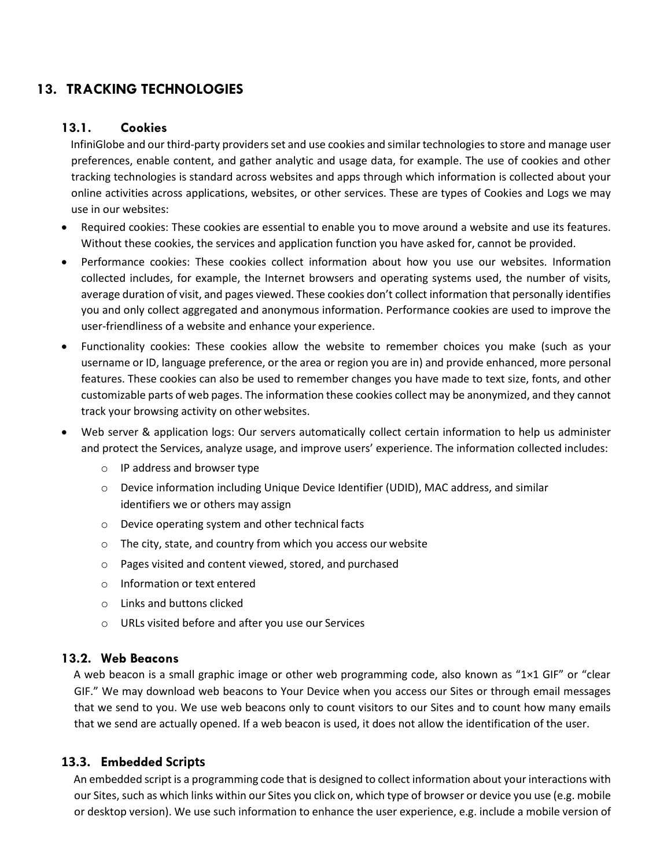# **13. TRACKING TECHNOLOGIES**

#### **13.1. Cookies**

InfiniGlobe and our third-party providers set and use cookies and similar technologies to store and manage user preferences, enable content, and gather analytic and usage data, for example. The use of cookies and other tracking technologies is standard across websites and apps through which information is collected about your online activities across applications, websites, or other services. These are types of Cookies and Logs we may use in our websites:

- Required cookies: These cookies are essential to enable you to move around a website and use its features. Without these cookies, the services and application function you have asked for, cannot be provided.
- Performance cookies: These cookies collect information about how you use our websites. Information collected includes, for example, the Internet browsers and operating systems used, the number of visits, average duration of visit, and pages viewed. These cookies don't collect information that personally identifies you and only collect aggregated and anonymous information. Performance cookies are used to improve the user-friendliness of a website and enhance your experience.
- Functionality cookies: These cookies allow the website to remember choices you make (such as your username or ID, language preference, or the area or region you are in) and provide enhanced, more personal features. These cookies can also be used to remember changes you have made to text size, fonts, and other customizable parts of web pages. The information these cookies collect may be anonymized, and they cannot track your browsing activity on other websites.
- Web server & application logs: Our servers automatically collect certain information to help us administer and protect the Services, analyze usage, and improve users' experience. The information collected includes:
	- o IP address and browser type
	- o Device information including Unique Device Identifier (UDID), MAC address, and similar identifiers we or others may assign
	- o Device operating system and other technical facts
	- o The city, state, and country from which you access our website
	- o Pages visited and content viewed, stored, and purchased
	- o Information or text entered
	- o Links and buttons clicked
	- o URLs visited before and after you use our Services

#### **13.2. Web Beacons**

A web beacon is a small graphic image or other web programming code, also known as "1×1 GIF" or "clear GIF." We may download web beacons to Your Device when you access our Sites or through email messages that we send to you. We use web beacons only to count visitors to our Sites and to count how many emails that we send are actually opened. If a web beacon is used, it does not allow the identification of the user.

#### **13.3. Embedded Scripts**

An embedded script is a programming code that is designed to collect information about your interactions with our Sites, such as which links within our Sites you click on, which type of browser or device you use (e.g. mobile or desktop version). We use such information to enhance the user experience, e.g. include a mobile version of